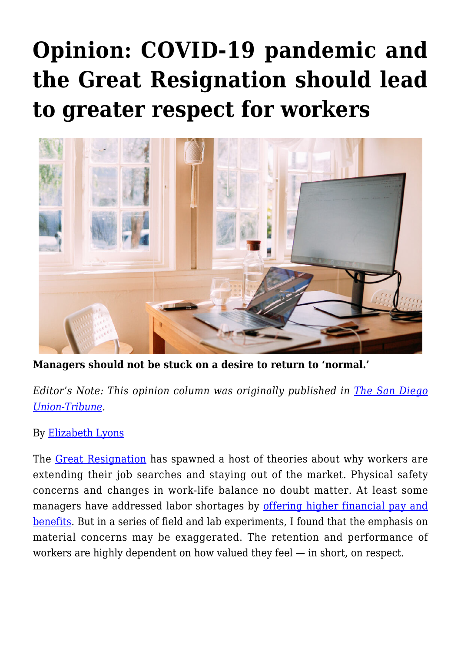## **[Opinion: COVID-19 pandemic and](https://gpsnews.ucsd.edu/opinion-covid-19-pandemic-and-the-great-resignation-should-lead-to-greater-respect-for-workers/) [the Great Resignation should lead](https://gpsnews.ucsd.edu/opinion-covid-19-pandemic-and-the-great-resignation-should-lead-to-greater-respect-for-workers/) [to greater respect for workers](https://gpsnews.ucsd.edu/opinion-covid-19-pandemic-and-the-great-resignation-should-lead-to-greater-respect-for-workers/)**



**Managers should not be stuck on a desire to return to 'normal.'**

*Editor's Note: This opinion column was originally published in [The San Diego](https://www.sandiegouniontribune.com/opinion/commentary/story/2022-02-14/opinion-great-resignation-should-lead-to-greater-respect-elizabeth-lyons) [Union-Tribune](https://www.sandiegouniontribune.com/opinion/commentary/story/2022-02-14/opinion-great-resignation-should-lead-to-greater-respect-elizabeth-lyons).*

## By [Elizabeth Lyons](https://gps.ucsd.edu/faculty-directory/elizabeth-lyons.html)

The [Great Resignation](https://nam04.safelinks.protection.outlook.com/?url=https%3A%2F%2Fwww.businessinsider.com%2Fjolts-job-openings-july-labor-market-hiring-worker-shortage-recovery-2021-9&data=04%7C01%7Claura.castaneda%40sduniontribune.com%7Cb521991c2acb4c84822208d9ec2ff759%7Ca42080b34dd948b4bf44d70d3bbaf5d2%7C0%7C0%7C637800513030916051%7CUnknown%7CTWFpbGZsb3d8eyJWIjoiMC4wLjAwMDAiLCJQIjoiV2luMzIiLCJBTiI6Ik1haWwiLCJXVCI6Mn0%3D%7C3000&sdata=sbyiy8AUeJkUDz%2FvWcCjGfzbwr6DbQM88yZluiVOTZ4%3D&reserved=0) has spawned a host of theories about why workers are extending their job searches and staying out of the market. Physical safety concerns and changes in work-life balance no doubt matter. At least some managers have addressed labor shortages by [offering higher financial pay and](https://nam04.safelinks.protection.outlook.com/?url=https%3A%2F%2Ffortune.com%2F2021%2F07%2F30%2Fwages-salaries-increase-businesses-attract-talent-jobs%2F&data=04%7C01%7Claura.castaneda%40sduniontribune.com%7Cb521991c2acb4c84822208d9ec2ff759%7Ca42080b34dd948b4bf44d70d3bbaf5d2%7C0%7C0%7C637800513030916051%7CUnknown%7CTWFpbGZsb3d8eyJWIjoiMC4wLjAwMDAiLCJQIjoiV2luMzIiLCJBTiI6Ik1haWwiLCJXVCI6Mn0%3D%7C3000&sdata=cr6cLf8Iy25QPZgcyy%2FojSjbuJrny9nauv%2Bu%2FcHv%2F6Y%3D&reserved=0) [benefits](https://nam04.safelinks.protection.outlook.com/?url=https%3A%2F%2Ffortune.com%2F2021%2F07%2F30%2Fwages-salaries-increase-businesses-attract-talent-jobs%2F&data=04%7C01%7Claura.castaneda%40sduniontribune.com%7Cb521991c2acb4c84822208d9ec2ff759%7Ca42080b34dd948b4bf44d70d3bbaf5d2%7C0%7C0%7C637800513030916051%7CUnknown%7CTWFpbGZsb3d8eyJWIjoiMC4wLjAwMDAiLCJQIjoiV2luMzIiLCJBTiI6Ik1haWwiLCJXVCI6Mn0%3D%7C3000&sdata=cr6cLf8Iy25QPZgcyy%2FojSjbuJrny9nauv%2Bu%2FcHv%2F6Y%3D&reserved=0). But in a series of field and lab experiments, I found that the emphasis on material concerns may be exaggerated. The retention and performance of workers are highly dependent on how valued they feel — in short, on respect.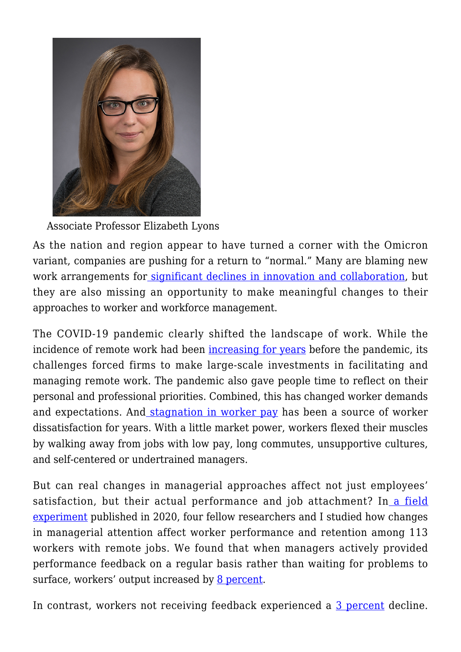

Associate Professor Elizabeth Lyons

As the nation and region appear to have turned a corner with the Omicron variant, companies are pushing for a return to "normal." Many are blaming new work arrangements fo[r significant declines in innovation and collaboration](https://nam04.safelinks.protection.outlook.com/?url=https%3A%2F%2Fwww.zdnet.com%2Farticle%2Fremote-work-is-making-productivity-and-innovation-harder-says-microsoft-study%2F&data=04%7C01%7Claura.castaneda%40sduniontribune.com%7Cb521991c2acb4c84822208d9ec2ff759%7Ca42080b34dd948b4bf44d70d3bbaf5d2%7C0%7C0%7C637800513030916051%7CUnknown%7CTWFpbGZsb3d8eyJWIjoiMC4wLjAwMDAiLCJQIjoiV2luMzIiLCJBTiI6Ik1haWwiLCJXVCI6Mn0%3D%7C3000&sdata=pMGCu5wz4UouGvx5Ff91SymSEdfjVUXQ55Jhwl4Rq6o%3D&reserved=0), but they are also missing an opportunity to make meaningful changes to their approaches to worker and workforce management.

The COVID-19 pandemic clearly shifted the landscape of work. While the incidence of remote work had been [increasing for years](https://nam04.safelinks.protection.outlook.com/?url=https%3A%2F%2Fwww.cnbc.com%2F2019%2F10%2F13%2Fpeople-who-work-from-home-earn-more-than-those-who-commuteheres-why.html&data=04%7C01%7Claura.castaneda%40sduniontribune.com%7Cb521991c2acb4c84822208d9ec2ff759%7Ca42080b34dd948b4bf44d70d3bbaf5d2%7C0%7C0%7C637800513031072275%7CUnknown%7CTWFpbGZsb3d8eyJWIjoiMC4wLjAwMDAiLCJQIjoiV2luMzIiLCJBTiI6Ik1haWwiLCJXVCI6Mn0%3D%7C3000&sdata=K0kI%2F7huRMZPqyDwOl8qUeBWUMDmJzlKTCnxM79arhM%3D&reserved=0) before the pandemic, its challenges forced firms to make large-scale investments in facilitating and managing remote work. The pandemic also gave people time to reflect on their personal and professional priorities. Combined, this has changed worker demands and expectations. And [stagnation in worker pay](https://nam04.safelinks.protection.outlook.com/?url=https%3A%2F%2Fwww.pewresearch.org%2Ffact-tank%2F2018%2F08%2F07%2Ffor-most-us-workers-real-wages-have-barely-budged-for-decades%2F&data=04%7C01%7Claura.castaneda%40sduniontribune.com%7Cb521991c2acb4c84822208d9ec2ff759%7Ca42080b34dd948b4bf44d70d3bbaf5d2%7C0%7C0%7C637800513031072275%7CUnknown%7CTWFpbGZsb3d8eyJWIjoiMC4wLjAwMDAiLCJQIjoiV2luMzIiLCJBTiI6Ik1haWwiLCJXVCI6Mn0%3D%7C3000&sdata=%2Be%2BeCbsIFUzO09rHtlryBu1w8CUz2QvAFyVK%2F4qPu4w%3D&reserved=0) has been a source of worker dissatisfaction for years. With a little market power, workers flexed their muscles by walking away from jobs with low pay, long commutes, unsupportive cultures, and self-centered or undertrained managers.

But can real changes in managerial approaches affect not just employees' satisfaction, but their actual performance and job attachment? In [a field](https://nam04.safelinks.protection.outlook.com/?url=https%3A%2F%2Freader.elsevier.com%2Freader%2Fsd%2Fpii%2FS0167268120301542%3Ftoken%3D82F3AC95C7EB2886583BBD221F0B96E80355603473CB6924607B13ED568D52224A979D262F541AE32A32E112FA6EDE5B%26originRegion%3Dus-east-1%26originCreation%3D20211110204743&data=04%7C01%7Claura.castaneda%40sduniontribune.com%7Cb521991c2acb4c84822208d9ec2ff759%7Ca42080b34dd948b4bf44d70d3bbaf5d2%7C0%7C0%7C637800513031072275%7CUnknown%7CTWFpbGZsb3d8eyJWIjoiMC4wLjAwMDAiLCJQIjoiV2luMzIiLCJBTiI6Ik1haWwiLCJXVCI6Mn0%3D%7C3000&sdata=3rguIUf9aGyn2a1eVzSZHLlEoSQsCNnliFy67RYJKXs%3D&reserved=0) [experiment](https://nam04.safelinks.protection.outlook.com/?url=https%3A%2F%2Freader.elsevier.com%2Freader%2Fsd%2Fpii%2FS0167268120301542%3Ftoken%3D82F3AC95C7EB2886583BBD221F0B96E80355603473CB6924607B13ED568D52224A979D262F541AE32A32E112FA6EDE5B%26originRegion%3Dus-east-1%26originCreation%3D20211110204743&data=04%7C01%7Claura.castaneda%40sduniontribune.com%7Cb521991c2acb4c84822208d9ec2ff759%7Ca42080b34dd948b4bf44d70d3bbaf5d2%7C0%7C0%7C637800513031072275%7CUnknown%7CTWFpbGZsb3d8eyJWIjoiMC4wLjAwMDAiLCJQIjoiV2luMzIiLCJBTiI6Ik1haWwiLCJXVCI6Mn0%3D%7C3000&sdata=3rguIUf9aGyn2a1eVzSZHLlEoSQsCNnliFy67RYJKXs%3D&reserved=0) published in 2020, four fellow researchers and I studied how changes in managerial attention affect worker performance and retention among 113 workers with remote jobs. We found that when managers actively provided performance feedback on a regular basis rather than waiting for problems to surface, workers' output increased by [8 percent](https://www.sciencedirect.com/science/article/abs/pii/S0167268120301542).

In contrast, workers not receiving feedback experienced a [3 percent](https://www.sciencedirect.com/science/article/abs/pii/S0167268120301542) decline.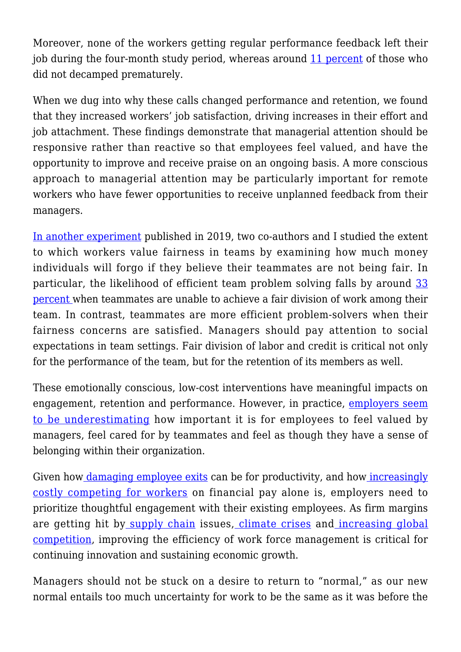Moreover, none of the workers getting regular performance feedback left their job during the four-month study period, whereas around [11 percent](https://www.sciencedirect.com/science/article/abs/pii/S0167268120301542) of those who did not decamped prematurely.

When we dug into why these calls changed performance and retention, we found that they increased workers' job satisfaction, driving increases in their effort and job attachment. These findings demonstrate that managerial attention should be responsive rather than reactive so that employees feel valued, and have the opportunity to improve and receive praise on an ongoing basis. A more conscious approach to managerial attention may be particularly important for remote workers who have fewer opportunities to receive unplanned feedback from their managers.

[In another experiment](https://nam04.safelinks.protection.outlook.com/?url=https%3A%2F%2Flink.springer.com%2Farticle%2F10.1007%2Fs10683-019-09626-x&data=04%7C01%7Claura.castaneda%40sduniontribune.com%7Cb521991c2acb4c84822208d9ec2ff759%7Ca42080b34dd948b4bf44d70d3bbaf5d2%7C0%7C0%7C637800513031072275%7CUnknown%7CTWFpbGZsb3d8eyJWIjoiMC4wLjAwMDAiLCJQIjoiV2luMzIiLCJBTiI6Ik1haWwiLCJXVCI6Mn0%3D%7C3000&sdata=tjmwrPPpLq%2B6ve7IGPcTZNsd9p8A3J%2BPFXx5wRIdFvM%3D&reserved=0) published in 2019, two co-authors and I studied the extent to which workers value fairness in teams by examining how much money individuals will forgo if they believe their teammates are not being fair. In particular, the likelihood of efficient team problem solving falls by around [33](https://www.sciencedirect.com/science/article/abs/pii/S0167268120301542) [percent w](https://www.sciencedirect.com/science/article/abs/pii/S0167268120301542)hen teammates are unable to achieve a fair division of work among their team. In contrast, teammates are more efficient problem-solvers when their fairness concerns are satisfied. Managers should pay attention to social expectations in team settings. Fair division of labor and credit is critical not only for the performance of the team, but for the retention of its members as well.

These emotionally conscious, low-cost interventions have meaningful impacts on engagement, retention and performance. However, in practice, [employers seem](https://nam04.safelinks.protection.outlook.com/?url=https%3A%2F%2Fwww.mckinsey.com%2Ffeatured-insights%2Fcoronavirus-leading-through-the-crisis%2Fcharting-the-path-to-the-next-normal%2Fthe-great-attrition-stems-from-a-great-disconnect%3Fcid%3Dother-eml-chr-mip-mck%26hlkid%3D289eead6a20145f48e52fba3e12c78cf%26hctky%3D10703083%26hdpid%3D06b92061-ffe4-4c92-a11b-92def09cc711.&data=04%7C01%7Claura.castaneda%40sduniontribune.com%7Cb521991c2acb4c84822208d9ec2ff759%7Ca42080b34dd948b4bf44d70d3bbaf5d2%7C0%7C0%7C637800513031072275%7CUnknown%7CTWFpbGZsb3d8eyJWIjoiMC4wLjAwMDAiLCJQIjoiV2luMzIiLCJBTiI6Ik1haWwiLCJXVCI6Mn0%3D%7C3000&sdata=3n5EqE%2Faz7b3YZD11ZZf3udMO1AGMof4ZVgyP%2FCqkPo%3D&reserved=0) [to be underestimating](https://nam04.safelinks.protection.outlook.com/?url=https%3A%2F%2Fwww.mckinsey.com%2Ffeatured-insights%2Fcoronavirus-leading-through-the-crisis%2Fcharting-the-path-to-the-next-normal%2Fthe-great-attrition-stems-from-a-great-disconnect%3Fcid%3Dother-eml-chr-mip-mck%26hlkid%3D289eead6a20145f48e52fba3e12c78cf%26hctky%3D10703083%26hdpid%3D06b92061-ffe4-4c92-a11b-92def09cc711.&data=04%7C01%7Claura.castaneda%40sduniontribune.com%7Cb521991c2acb4c84822208d9ec2ff759%7Ca42080b34dd948b4bf44d70d3bbaf5d2%7C0%7C0%7C637800513031072275%7CUnknown%7CTWFpbGZsb3d8eyJWIjoiMC4wLjAwMDAiLCJQIjoiV2luMzIiLCJBTiI6Ik1haWwiLCJXVCI6Mn0%3D%7C3000&sdata=3n5EqE%2Faz7b3YZD11ZZf3udMO1AGMof4ZVgyP%2FCqkPo%3D&reserved=0) how important it is for employees to feel valued by managers, feel cared for by teammates and feel as though they have a sense of belonging within their organization.

Given how <u>damaging employee exits</u> can be for productivity, and how *increasingly* [costly competing for workers](https://nam04.safelinks.protection.outlook.com/?url=https%3A%2F%2Ffortune.com%2F2021%2F08%2F09%2Famerican-workers-employers-raise-hourly-wages-job-market%2F&data=04%7C01%7Claura.castaneda%40sduniontribune.com%7Cb521991c2acb4c84822208d9ec2ff759%7Ca42080b34dd948b4bf44d70d3bbaf5d2%7C0%7C0%7C637800513031072275%7CUnknown%7CTWFpbGZsb3d8eyJWIjoiMC4wLjAwMDAiLCJQIjoiV2luMzIiLCJBTiI6Ik1haWwiLCJXVCI6Mn0%3D%7C3000&sdata=VMPQrcKOuKemH4C3kb9yBq8WfHrGV6%2Fzix2dhoMVVMw%3D&reserved=0) on financial pay alone is, employers need to prioritize thoughtful engagement with their existing employees. As firm margins are getting hit by [supply chain](https://nam04.safelinks.protection.outlook.com/?url=https%3A%2F%2Fwww.cnbc.com%2F2021%2F10%2F18%2Fsupply-chain-chaos-is-hitting-global-growth-and-could-get-worse.html&data=04%7C01%7Claura.castaneda%40sduniontribune.com%7Cb521991c2acb4c84822208d9ec2ff759%7Ca42080b34dd948b4bf44d70d3bbaf5d2%7C0%7C0%7C637800513031072275%7CUnknown%7CTWFpbGZsb3d8eyJWIjoiMC4wLjAwMDAiLCJQIjoiV2luMzIiLCJBTiI6Ik1haWwiLCJXVCI6Mn0%3D%7C3000&sdata=1thXn4FivyhAGQHahYCXUhE6z3tux%2BiRLhB7Kc4oZLE%3D&reserved=0) issues, [climate crises](https://nam04.safelinks.protection.outlook.com/?url=https%3A%2F%2Fwww.cnbc.com%2F2021%2F10%2F18%2Fsupply-chain-chaos-is-hitting-global-growth-and-could-get-worse.html&data=04%7C01%7Claura.castaneda%40sduniontribune.com%7Cb521991c2acb4c84822208d9ec2ff759%7Ca42080b34dd948b4bf44d70d3bbaf5d2%7C0%7C0%7C637800513031072275%7CUnknown%7CTWFpbGZsb3d8eyJWIjoiMC4wLjAwMDAiLCJQIjoiV2luMzIiLCJBTiI6Ik1haWwiLCJXVCI6Mn0%3D%7C3000&sdata=1thXn4FivyhAGQHahYCXUhE6z3tux%2BiRLhB7Kc4oZLE%3D&reserved=0) and [increasing global](https://nam04.safelinks.protection.outlook.com/?url=https%3A%2F%2Fwww.mckinsey.com%2F~%2Fmedia%2Fmckinsey%2Fbusiness%2520functions%2Fstrategy%2520and%2520corporate%2520finance%2Four%2520insights%2Fthe%2520new%2520global%2520competition%2520for%2520corporate%2520profits%2Fmgi%2520global%2520competition_full%2520report_sep%25202015.ashx&data=04%7C01%7Claura.castaneda%40sduniontribune.com%7Cb521991c2acb4c84822208d9ec2ff759%7Ca42080b34dd948b4bf44d70d3bbaf5d2%7C0%7C0%7C637800513031072275%7CUnknown%7CTWFpbGZsb3d8eyJWIjoiMC4wLjAwMDAiLCJQIjoiV2luMzIiLCJBTiI6Ik1haWwiLCJXVCI6Mn0%3D%7C3000&sdata=1dHL45zcqVwIxoNCeZybj29s%2FjxsezE%2FLaLNie30SFw%3D&reserved=0) [competition](https://nam04.safelinks.protection.outlook.com/?url=https%3A%2F%2Fwww.mckinsey.com%2F~%2Fmedia%2Fmckinsey%2Fbusiness%2520functions%2Fstrategy%2520and%2520corporate%2520finance%2Four%2520insights%2Fthe%2520new%2520global%2520competition%2520for%2520corporate%2520profits%2Fmgi%2520global%2520competition_full%2520report_sep%25202015.ashx&data=04%7C01%7Claura.castaneda%40sduniontribune.com%7Cb521991c2acb4c84822208d9ec2ff759%7Ca42080b34dd948b4bf44d70d3bbaf5d2%7C0%7C0%7C637800513031072275%7CUnknown%7CTWFpbGZsb3d8eyJWIjoiMC4wLjAwMDAiLCJQIjoiV2luMzIiLCJBTiI6Ik1haWwiLCJXVCI6Mn0%3D%7C3000&sdata=1dHL45zcqVwIxoNCeZybj29s%2FjxsezE%2FLaLNie30SFw%3D&reserved=0), improving the efficiency of work force management is critical for continuing innovation and sustaining economic growth.

Managers should not be stuck on a desire to return to "normal," as our new normal entails too much uncertainty for work to be the same as it was before the